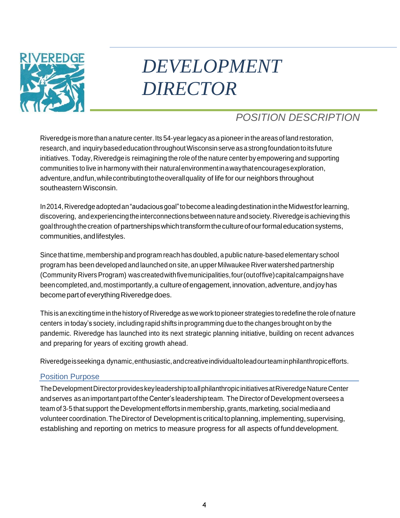

# *DEVELOPMENT DIRECTOR*

# *POSITION DESCRIPTION*

Riveredge is more than a nature center. Its 54-year legacy as a pioneer in the areas of land restoration, research, and inquirybasededucationthroughoutWisconsinserveasastrongfoundationtoitsfuture initiatives. Today, Riveredge is reimagining the role of the nature center by empowering and supporting communities to live in harmony with their naturalenvironmentinawaythatencouragesexploration, adventure,andfun,whilecontributingtotheoverallquality of life for our neighbors throughout southeasternWisconsin.

In2014,Riveredgeadoptedan"audaciousgoal"tobecomealeadingdestinationintheMidwestforlearning, discovering, andexperiencingtheinterconnectionsbetweennatureandsociety.Riveredgeisachievingthis goalthroughthecreation ofpartnershipswhichtransformthecultureofourformaleducationsystems, communities,andlifestyles.

Since that time, membership and program reach has doubled, a public nature‐based elementary school program has been developed and launched on site, an upper Milwaukee River watershed partnership (Community RiversProgram) wascreatedwithfivemunicipalities,four(outoffive)capitalcampaignshave beencompleted, and, mostimportantly, a culture of engagement, innovation, adventure, and joy has become part of everything Riveredge does.

This is an exciting time in the history of Riveredge as we work to pioneer strategies to redefine the role of nature centers in today's society, including rapid shifts in programming due to the changes brought on by the pandemic. Riveredge has launched into its next strategic planning initiative, building on recent advances and preparing for years of exciting growth ahead.

Riveredgeisseekinga dynamic,enthusiastic,andcreativeindividualtoleadourteaminphilanthropicefforts.

### Position Purpose

TheDevelopmentDirectorprovideskeyleadershiptoallphilanthropicinitiativesatRiveredgeNatureCenter and serves as an important part of the Center's leadership team. The Director of Development oversees a team of 3-5 that support the Development efforts in membership, grants, marketing, social media and volunteer coordination. The Director of Development is critical to planning, implementing, supervising, establishing and reporting on metrics to measure progress for all aspects of funddevelopment.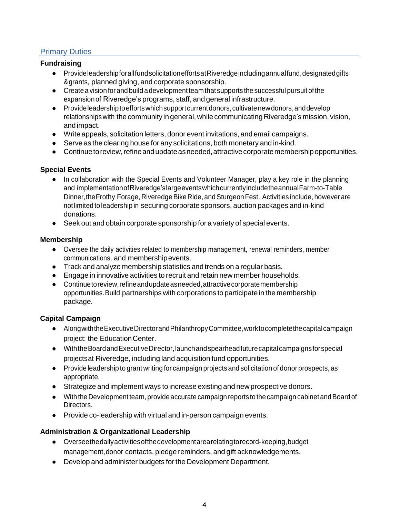# Primary Duties

#### **Fundraising**

- ProvideleadershipforallfundsolicitationeffortsatRiveredgeincludingannualfund,designatedgifts &grants, planned giving, and corporate sponsorship.
- Create a vision forand build adevelopment team that supports the successful pursuit ofthe expansionof Riveredge's programs, staff, and general infrastructure.
- Provideleadershiptoeffortswhichsupportcurrentdonors,cultivatenewdonors,anddevelop relationshipswith thecommunity in general, while communicating Riveredge's mission, vision, and impact.
- Write appeals, solicitation letters, donor event invitations, and email campaigns.
- Serve as the clearing house for any solicitations, both monetary and in-kind.
- Continue to review, refine and update as needed, attractive corporate membership opportunities.

### **Special Events**

- In collaboration with the Special Events and Volunteer Manager, play a key role in the planning and implementationofRiveredge'slargeeventswhichcurrentlyincludetheannualFarm‐to‐Table Dinner, the Frothy Forage, Riveredge Bike Ride, and Sturgeon Fest. Activities include, however are notlimited to leadership in securing corporate sponsors, auction packages and in‐kind donations.
- Seek out and obtain corporate sponsorship for a variety of special events.

#### **Membership**

- Oversee the daily activities related to membership management, renewal reminders, member communications, and membershipevents.
- Track and analyze membership statistics and trends on a regular basis.
- Engage in innovative activities to recruit and retain new member households.
- Continuetoreview,refineandupdateasneeded,attractivecorporatemembership opportunities.Build partnerships with corporations to participate in the membership package.

### **Capital Campaign**

- AlongwiththeExecutiveDirectorandPhilanthropyCommittee,worktocompletethecapitalcampaign project: the EducationCenter.
- WiththeBoardandExecutiveDirector,launchandspearheadfuturecapitalcampaignsforspecial projectsat Riveredge, including land acquisition fund opportunities.
- Provide leadership to grant writing for campaign projects and solicitation of donor prospects, as appropriate.
- Strategize and implement ways to increase existing and new prospective donors.
- Withthe Development team, provide accurate campaign reports tothecampaign cabinet andBoard of Directors.
- Provide co-leadership with virtual and in-person campaign events.

### **Administration & Organizational Leadership**

- Overseethedailyactivities of the development arearelating to record-keeping, budget management,donor contacts, pledge reminders, and gift acknowledgements.
- Develop and administer budgets forthe Development Department.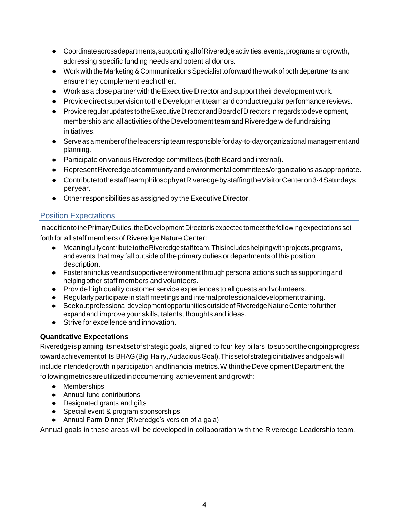- Coordinateacrossdepartments,supportingallofRiveredgeactivities,events,programsandgrowth, addressing specific funding needs and potential donors.
- Work with the Marketing & Communications Specialist to forward the work of both departments and ensure they complement eachother.
- Work as a close partner with theExecutive Director and support their development work.
- Provide direct supervision to the Development team and conduct regular performance reviews.
- Provideregularupdates totheExecutiveDirectorandBoardofDirectorsinregards todevelopment, membership and allactivities of the Development team and Riveredgewidefund raising initiatives.
- Serve as a member of the leadership team responsible for day-to-day organizational management and planning.
- Participate on various Riveredge committees (both Board and internal).
- Represent Riveredge at community and environmental committees/organizations as appropriate.
- ContributetothestaffteamphilosophyatRiveredgebystaffingtheVisitorCenteron3-4Saturdays peryear.
- Other responsibilities as assigned by the Executive Director.

# Position Expectations

In addition to the Primary Duties, the Development Director is expected to meet the following expectations set forthfor all staff members of Riveredge Nature Center:

- MeaningfullycontributetotheRiveredgestaffteam.Thisincludeshelpingwithprojects,programs, andevents that may fall outside of theprimary duties or departments of this position description.
- Fosteraninclusive andsupportive environmentthrough personalactions such as supporting and helping other staff members and volunteers.
- Provide high quality customer service experiences to all guests and volunteers.
- Regularly participate in staff meetings and internal professional development training.
- Seek out professional development opportunities outside of Riveredge Nature Center to further expandand improve your skills, talents, thoughts and ideas.
- Strive for excellence and innovation.

# **Quantitative Expectations**

Riveredgeisplanning its nextsetof strategicgoals, aligned to four key pillars,tosupportthe ongoingprogress toward achievement of its BHAG (Big, Hairy, Audacious Goal). This set of strategic initiatives and goals will include intended growth in participation and financial metrics. Within the Development Department, the followingmetricsareutilizedindocumenting achievement andgrowth:

- Memberships
- Annual fund contributions
- Designated grants and gifts
- Special event & program sponsorships
- Annual Farm Dinner (Riveredge's version of a gala)

Annual goals in these areas will be developed in collaboration with the Riveredge Leadership team.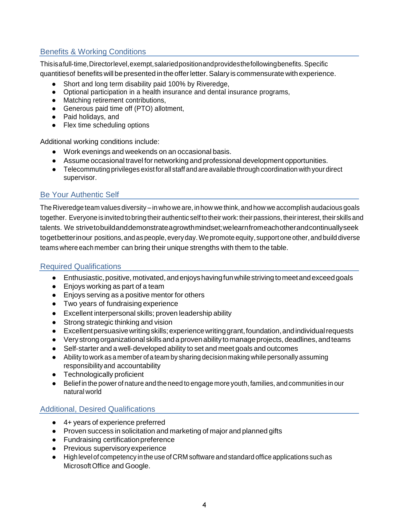# Benefits & Working Conditions

Thisisafull‐time,Directorlevel,exempt,salariedpositionandprovidesthefollowingbenefits. Specific

quantitiesof benefits will be presented in theofferletter.Salary is commensurate with experience.

- Short and long term disability paid 100% by Riveredge,
- Optional participation in a health insurance and dental insurance programs,
- Matching retirement contributions,
- Generous paid time off (PTO) allotment,
- Paid holidays, and
- Flex time scheduling options

Additional working conditions include:

- Work evenings and weekends on an occasional basis.
- Assume occasional travel for networking and professional development opportunities.
- Telecommuting privileges existforall staff andareavailable through coordination with your direct supervisor.

# Be Your Authentic Self

The Riveredge team values diversity – in who we are, in how we think, and how we accomplish audacious goals together. Everyone is invited to bring their authentic self to their work: their passions, their interest, their skills and talents. We strivetobuildanddemonstrateagrowthmindset;welearnfromeachotherandcontinuallyseek togetbetterinour positions,and aspeople, everyday.Wepromote equity, supportoneother, andbuild diverse teams where eachmember can bring their unique strengths with them to the table.

### Required Qualifications

- Enthusiastic, positive, motivated, and enjoys having fun while striving to meet and exceed goals
- Enjoys working as part of a team
- Enjoys serving as a positive mentor for others
- Two years of fundraising experience
- Excellent interpersonal skills; proven leadership ability
- Strong strategic thinking and vision
- Excellentpersuasivewritingskills;experiencewritinggrant,foundation,andindividualrequests
- Very strong organizational skills and a proven ability to manage projects, deadlines, and teams
- Self-starter and a well-developed ability to set and meet goals and outcomes
- Ability to work as a member ofa team by sharing decision making while personally assuming responsibility and accountability
- Technologically proficient
- Belief in the power of nature and the need to engage more youth, families, and communities in our natural world

# Additional, Desired Qualifications

- 4+ years of experience preferred
- Proven success in solicitation and marketing of major and planned gifts
- Fundraising certificationpreference
- Previous supervisoryexperience
- Highlevelof competency in the use ofCRM software andstandard office applications such as MicrosoftOffice and Google.